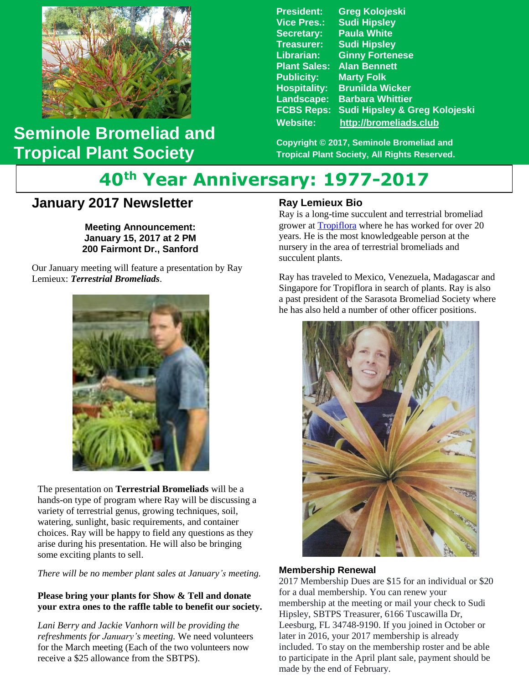

## **Seminole Bromeliad and Tropical Plant Society**

**President: Greg Kolojeski Vice Pres.: Sudi Hipsley Secretary: Paula White Treasurer: Sudi Hipsley Librarian: Ginny Fortenese Plant Sales: Alan Bennett Marty Folk Hospitality: Brunilda Wicker Landscape: Barbara Whittier FCBS Reps: Sudi Hipsley & Greg Kolojeski Website: [http://bromeliads.club](http://bromeliads.club/)**

**Copyright © 2017, Seminole Bromeliad and Tropical Plant Society, All Rights Reserved.**

# **40th Year Anniversary: 1977-2017**

### **January 2017 Newsletter**

 **Bill Haynes' Garden Stone January 15, 2017 at 2 PM Meeting Announcement: 200 Fairmont Dr., Sanford**

 Our January meeting will feature a presentation by Ray Lemieux: *Terrestrial Bromeliads*.



The presentation on **Terrestrial Bromeliads** will be a hands-on type of program where Ray will be discussing a variety of terrestrial genus, growing techniques, soil, watering, sunlight, basic requirements, and container choices. Ray will be happy to field any questions as they arise during his presentation. He will also be bringing some exciting plants to sell.

*There will be no member plant sales at January's meeting.*

#### **Please bring your plants for Show & Tell and donate your extra ones to the raffle table to benefit our society.**

*Lani Berry and Jackie Vanhorn will be providing the refreshments for January's meeting.* We need volunteers for the March meeting (Each of the two volunteers now receive a \$25 allowance from the SBTPS).

#### **Ray Lemieux Bio**

Ray is a long-time succulent and terrestrial bromeliad grower at [Tropiflora](https://www.tropiflora.com/) where he has worked for over 20 years. He is the most knowledgeable person at the nursery in the area of terrestrial bromeliads and succulent plants.

Ray has traveled to Mexico, Venezuela, Madagascar and Singapore for Tropiflora in search of plants. Ray is also a past president of the Sarasota Bromeliad Society where he has also held a number of other officer positions.



#### **Membership Renewal**

2017 Membership Dues are \$15 for an individual or \$20 for a dual membership. You can renew your membership at the meeting or mail your check to Sudi Hipsley, SBTPS Treasurer, 6166 Tuscawilla Dr, Leesburg, FL 34748-9190. If you joined in October or later in 2016, your 2017 membership is already included. To stay on the membership roster and be able to participate in the April plant sale, payment should be made by the end of February.